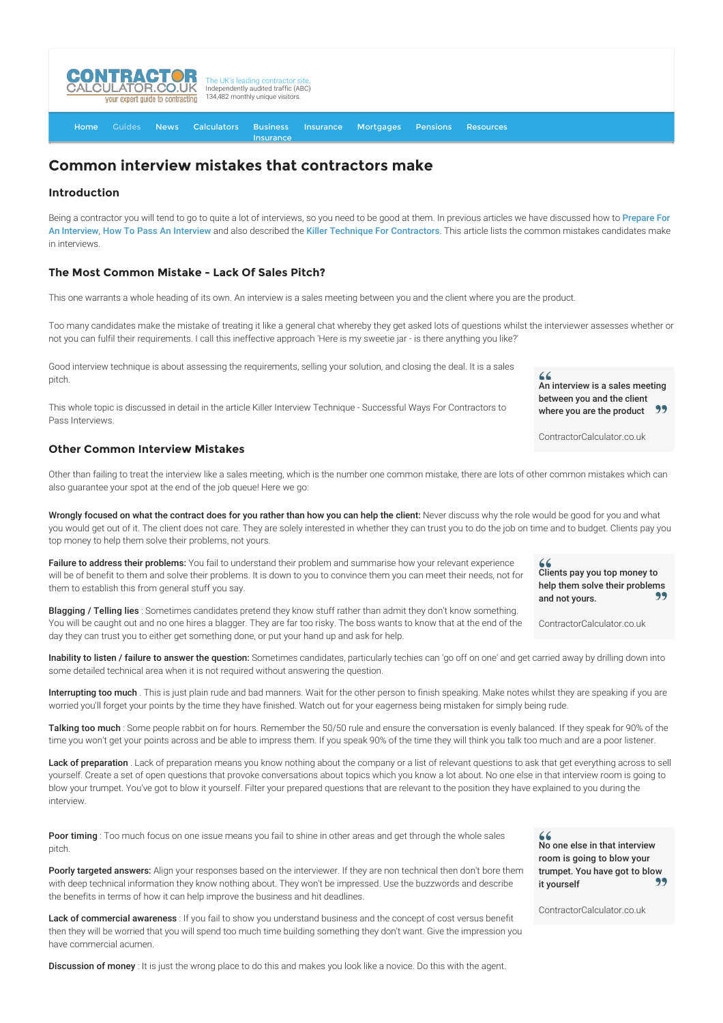

[Home](http://www.contractorcalculator.co.uk/) [Guides](http://www.contractorcalculator.co.uk/Articles.aspx) [News](http://www.contractorcalculator.co.uk/Contractor_News.aspx) [Calculators](http://www.contractorcalculator.co.uk/Calculators.aspx) Business [Insurance](http://www.contractorcalculator.co.uk/Contractor_Insurances.aspx) [Insurance](http://www.contractorcalculator.co.uk/Insurance.aspx) [Mortgages](http://www.contractorcalculator.co.uk/Contractor_Mortgages.aspx) [Pensions](http://www.contractorcalculator.co.uk/Contractor_Pensions.aspx) [Resources](http://www.contractorcalculator.co.uk/Contractor_Resources.aspx)

# **Common interview mistakes that contractors make**

## **Introduction**

[Being a contractor you will tend to go to quite a lot of interviews, so you need to be good at them. In previous articles we have discussed how to](http://www.contractorcalculator.co.uk/preparing_interview.aspx) Prepare For An Interview, [How To Pass An Interview](http://www.contractorcalculator.co.uk/how_to_pass_interview.aspx) and also described the [Killer Technique For Contractors](http://www.contractorcalculator.co.uk/killer_interview_technique_success_contractor.aspx). This article lists the common mistakes candidates make in interviews.

#### **The Most Common Mistake - Lack Of Sales Pitch?**

This one warrants a whole heading of its own. An interview is a sales meeting between you and the client where you are the product.

Too many candidates make the mistake of treating it like a general chat whereby they get asked lots of questions whilst the interviewer assesses whether or not you can fulfil their requirements. I call this ineffective approach 'Here is my sweetie jar - is there anything you like?'

Good interview technique is about assessing the requirements, selling your solution, and closing the deal. It is a sales pitch.

This whole topic is discussed in detail in the article Killer Interview Technique - Successful Ways For Contractors to Pass Interviews.

# **Other Common Interview Mistakes**

Other than failing to treat the interview like a sales meeting, which is the number one common mistake, there are lots of other common mistakes which can also guarantee your spot at the end of the job queue! Here we go:

Wrongly focused on what the contract does for you rather than how you can help the client: Never discuss why the role would be good for you and what you would get out of it. The client does not care. They are solely interested in whether they can trust you to do the job on time and to budget. Clients pay you top money to help them solve their problems, not yours.

Failure to address their problems: You fail to understand their problem and summarise how your relevant experience will be of benefit to them and solve their problems. It is down to you to convince them you can meet their needs, not for them to establish this from general stuff you say.

Blagging / Telling lies : Sometimes candidates pretend they know stuff rather than admit they don't know something. You will be caught out and no one hires a blagger. They are far too risky. The boss wants to know that at the end of the day they can trust you to either get something done, or put your hand up and ask for help.

Inability to listen / failure to answer the question: Sometimes candidates, particularly techies can 'go off on one' and get carried away by drilling down into some detailed technical area when it is not required without answering the question.

Interrupting too much. This is just plain rude and bad manners. Wait for the other person to finish speaking. Make notes whilst they are speaking if you are worried you'll forget your points by the time they have finished. Watch out for your eagerness being mistaken for simply being rude.

Talking too much : Some people rabbit on for hours. Remember the 50/50 rule and ensure the conversation is evenly balanced. If they speak for 90% of the time you won't get your points across and be able to impress them. If you speak 90% of the time they will think you talk too much and are a poor listener.

Lack of preparation . Lack of preparation means you know nothing about the company or a list of relevant questions to ask that get everything across to sell yourself. Create a set of open questions that provoke conversations about topics which you know a lot about. No one else in that interview room is going to blow your trumpet. You've got to blow it yourself. Filter your prepared questions that are relevant to the position they have explained to you during the interview.

Poor timing : Too much focus on one issue means you fail to shine in other areas and get through the whole sales pitch.

Poorly targeted answers: Align your responses based on the interviewer. If they are non technical then don't bore them with deep technical information they know nothing about. They won't be impressed. Use the buzzwords and describe the benefits in terms of how it can help improve the business and hit deadlines.

Lack of commercial awareness : If you fail to show you understand business and the concept of cost versus benefit then they will be worried that you will spend too much time building something they don't want. Give the impression you have commercial acumen.

Discussion of money : It is just the wrong place to do this and makes you look like a novice. Do this with the agent.

 $66$ An interview is a sales meeting between you and the client where you are the product 77

ContractorCalculator.co.uk

Clients pay you top money to help them solve their problems 99 and not yours.

ContractorCalculator.co.uk

No one else in that interview room is going to blow your trumpet. You have got to blow it yourself 99

ContractorCalculator.co.uk

 $66$